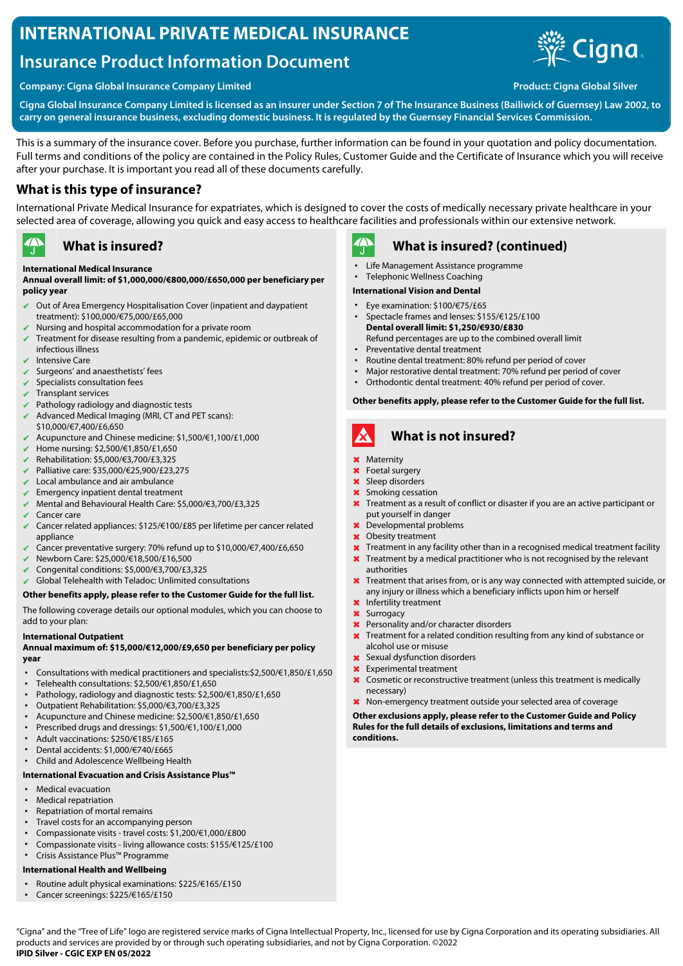# **INTERNATIONAL PRIVATE MEDICAL INSURANCE**

# **Insurance Product Information Document**





**Cigna Global Insurance Company Limited is licensed as an insurer under Section 7 of The Insurance Business (Bailiwick of Guernsey) Law 2002, to carry on general insurance business, excluding domestic business. It is regulated by the Guernsey Financial Services Commission.**

This is a summary of the insurance cover. Before you purchase, further information can be found in your quotation and policy documentation. Full terms and conditions of the policy are contained in the Policy Rules, Customer Guide and the Certificate of Insurance which you will receive after your purchase. It is important you read all of these documents carefully.

## **What is this type of insurance?**

International Private Medical Insurance for expatriates, which is designed to cover the costs of medically necessary private healthcare in your selected area of coverage, allowing you quick and easy access to healthcare facilities and professionals within our extensive network.

#### $\rightarrow$ **What is insured?**

### **International Medical Insurance**

#### **Annual overall limit: of \$1,000,000/€800,000/£650,000 per beneficiary per policy year**

- Out of Area Emergency Hospitalisation Cover (inpatient and daypatient treatment): \$100,000/€75,000/£65,000
- Nursing and hospital accommodation for a private room
- ✔ Treatment for disease resulting from a pandemic, epidemic or outbreak of infectious illness
- Intensive Care
- Surgeons' and anaesthetists' fees
- Specialists consultation fees
- Transplant services
- Pathology radiology and diagnostic tests
- $\blacktriangleright$  Advanced Medical Imaging (MRI, CT and PET scans):
- \$10,000/€7,400/£6,650 ✔ Acupuncture and Chinese medicine: \$1,500/€1,100/£1,000
- ✔ Home nursing: \$2,500/€1,850/£1,650
- ✔ Rehabilitation: \$5,000/€3,700/£3,325
- ✔ Palliative care: \$35,000/€25,900/£23,275
- Local ambulance and air ambulance
- $\sqrt{\phantom{a}}$  Emergency inpatient dental treatment
- ✔ Mental and Behavioural Health Care: \$5,000/€3,700/£3,325
- Cancer care
- ✔ Cancer related appliances: \$125/€100/£85 per lifetime per cancer related appliance
- Cancer preventative surgery: 70% refund up to \$10,000/€7,400/£6,650
- ✔ Newborn Care: \$25,000/€18,500/£16,500
- ✔ Congenital conditions: \$5,000/€3,700/£3,325
- $\vee$  Global Telehealth with Teladoc: Unlimited consultations

#### **Other benefits apply, please refer to the Customer Guide for the full list.**

The following coverage details our optional modules, which you can choose to add to your plan:

#### **International Outpatient**

#### **Annual maximum of: \$15,000/€12,000/£9,650 per beneficiary per policy year**

- Consultations with medical practitioners and specialists:\$2,500/€1,850/£1,650
- Telehealth consultations: \$2,500/€1,850/£1,650
- Pathology, radiology and diagnostic tests: \$2,500/€1,850/£1,650
- Outpatient Rehabilitation: \$5,000/€3,700/£3,325
- Acupuncture and Chinese medicine: \$2,500/€1,850/£1,650
- Prescribed drugs and dressings: \$1,500/€1,100/£1,000
- Adult vaccinations: \$250/€185/£165
- Dental accidents: \$1,000/€740/£665
- Child and Adolescence Wellbeing Health

#### **International Evacuation and Crisis Assistance Plus™**

- Medical evacuation
- Medical repatriation
- Repatriation of mortal remains
- Travel costs for an accompanying person
- Compassionate visits travel costs: \$1,200/€1,000/£800
- Compassionate visits living allowance costs: \$155/€125/£100
- Crisis Assistance Plus™ Programme

#### **International Health and Wellbeing**

- Routine adult physical examinations: \$225/€165/£150
- Cancer screenings: \$225/€165/£150

#### $\mathbf{A}$ **What is insured? (continued)**

- Life Management Assistance programme
- Telephonic Wellness Coaching

#### **International Vision and Dental**

- Eye examination: \$100/€75/£65
- Spectacle frames and lenses: \$155/€125/£100 **Dental overall limit: \$1,250/€930/£830** Refund percentages are up to the combined overall limit
- Preventative dental treatment
- Routine dental treatment: 80% refund per period of cover
- Major restorative dental treatment: 70% refund per period of cover<br>• Orthodontic dental treatment: 40% refund per period of cover
- Orthodontic dental treatment: 40% refund per period of cover.

#### **Other benefits apply, please refer to the Customer Guide for the full list.**

# **What is not insured?**

- ✖ Maternity
- ✖ Foetal surgery
- ✖ Sleep disorders
- ✖ Smoking cessation
- **X** Treatment as a result of conflict or disaster if you are an active participant or put yourself in danger
- ✖ Developmental problems
- ✖ Obesity treatment
- $\times$  Treatment in any facility other than in a recognised medical treatment facility
- Treatment by a medical practitioner who is not recognised by the relevant authorities
- ✖ Treatment that arises from, or is any way connected with attempted suicide, or any injury or illness which a beneficiary inflicts upon him or herself
- ✖ Infertility treatment
- ✖ Surrogacy
- ✖ Personality and/or character disorders
- ✖ Treatment for a related condition resulting from any kind of substance or alcohol use or misuse
- ✖ Sexual dysfunction disorders
- Experimental treatment
- ✖ Cosmetic or reconstructive treatment (unless this treatment is medically necessary)
- ✖ Non-emergency treatment outside your selected area of coverage

#### **Other exclusions apply, please refer to the Customer Guide and Policy Rules for the full details of exclusions, limitations and terms and conditions.**

"Cigna" and the "Tree of Life" logo are registered service marks of Cigna Intellectual Property, Inc., licensed for use by Cigna Corporation and its operating subsidiaries. All products and services are provided by or through such operating subsidiaries, and not by Cigna Corporation. ©2022 **IPID Silver - CGIC EXP EN 05/2022**